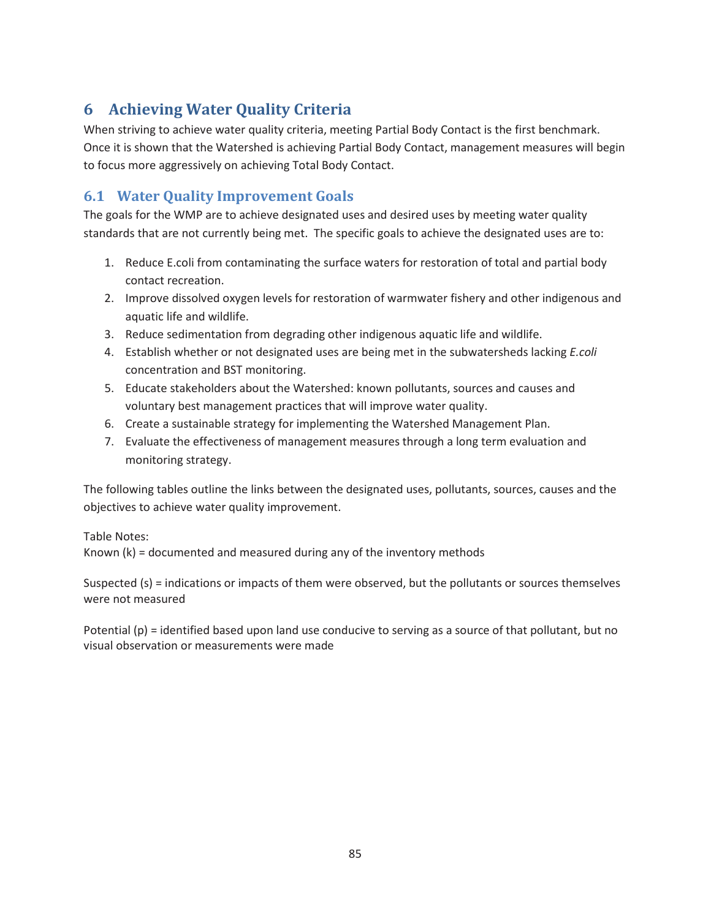## **6 Achieving Water Quality Criteria**

When striving to achieve water quality criteria, meeting Partial Body Contact is the first benchmark. Once it is shown that the Watershed is achieving Partial Body Contact, management measures will begin to focus more aggressively on achieving Total Body Contact.

## **6.1 Water Quality Improvement Goals**

The goals for the WMP are to achieve designated uses and desired uses by meeting water quality standards that are not currently being met. The specific goals to achieve the designated uses are to:

- 1. Reduce E.coli from contaminating the surface waters for restoration of total and partial body contact recreation.
- 2. Improve dissolved oxygen levels for restoration of warmwater fishery and other indigenous and aquatic life and wildlife.
- 3. Reduce sedimentation from degrading other indigenous aquatic life and wildlife.
- 4. Establish whether or not designated uses are being met in the subwatersheds lacking *E.coli* concentration and BST monitoring.
- 5. Educate stakeholders about the Watershed: known pollutants, sources and causes and voluntary best management practices that will improve water quality.
- 6. Create a sustainable strategy for implementing the Watershed Management Plan.
- 7. Evaluate the effectiveness of management measures through a long term evaluation and monitoring strategy.

The following tables outline the links between the designated uses, pollutants, sources, causes and the objectives to achieve water quality improvement.

Table Notes:

Known (k) = documented and measured during any of the inventory methods

Suspected (s) = indications or impacts of them were observed, but the pollutants or sources themselves were not measured

Potential (p) = identified based upon land use conducive to serving as a source of that pollutant, but no visual observation or measurements were made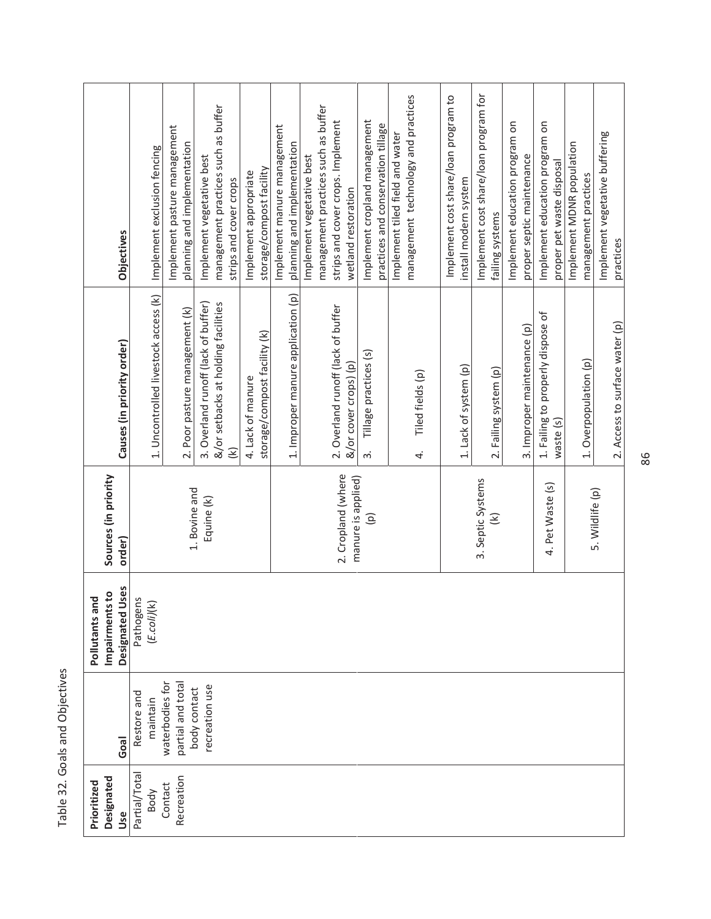| and<br>a<br>code<br>ŗ<br>$\frac{2}{3}$ |
|----------------------------------------|
| ć<br>ש<br>ק                            |

|                                                              | <b>Objectives</b>          | Implement exclusion fencing          | Implement pasture management         | planning and implementation    | Implement vegetative best           | management practices such as buffer | strips and cover crops | Implement appropriate | storage/compost facility     | Implement manure management<br>planning and implementation | Implement vegetative best | management practices such as buffer | strips and cover crops. Implement  | wetland restoration                      | Implement cropland management    | practices and conservation tillage | Implement tiled field and water | management technology and practices |    | Implement cost share/loan program to | install modern system | Implement cost share/loan program for | failing systems       | Implement education program on | proper septic maintenance   | Implement education program on    | proper pet waste disposal | Implement MDNR population | management practices  | Implement vegetative buffering | practices                      |
|--------------------------------------------------------------|----------------------------|--------------------------------------|--------------------------------------|--------------------------------|-------------------------------------|-------------------------------------|------------------------|-----------------------|------------------------------|------------------------------------------------------------|---------------------------|-------------------------------------|------------------------------------|------------------------------------------|----------------------------------|------------------------------------|---------------------------------|-------------------------------------|----|--------------------------------------|-----------------------|---------------------------------------|-----------------------|--------------------------------|-----------------------------|-----------------------------------|---------------------------|---------------------------|-----------------------|--------------------------------|--------------------------------|
|                                                              | Causes (in priority order) | 1. Uncontrolled livestock access (k) |                                      | 2. Poor pasture management (k) | 3. Overland runoff (lack of buffer) | &/or setbacks at holding facilities | €                      | 4. Lack of manure     | storage/compost facility (k) | 1. Improper manure application (p)                         |                           |                                     | 2. Overland runoff (lack of buffer | &/or cover crops) (p)                    | Tillage practices (s)<br>ന്<br>ന |                                    |                                 | Tiled fields (p)                    | 4. |                                      | 1. Lack of system (p) |                                       | 2. Failing system (p) |                                | 3. Improper maintenance (p) | 1. Failing to properly dispose of | waste (s)                 |                           | 1. Overpopulation (p) |                                | 2. Access to surface water (p) |
| Sources (in priority                                         | order)                     |                                      |                                      | 1. Bovine and                  | Equine (k)                          |                                     |                        |                       |                              |                                                            |                           |                                     |                                    | 2. Cropland (where<br>manure is applied) | $\widehat{e}$                    |                                    |                                 |                                     |    |                                      |                       | 3. Septic Systems                     | ⊛                     |                                |                             | 4. Pet Waste (s)                  |                           |                           | 5. Wildlife (p)       |                                |                                |
| $\overline{\mathbf{c}}$<br>p<br>Impairments<br>Pollutants ar | Designated Uses            | Pathogens<br>(E.cojj(k)              |                                      |                                |                                     |                                     |                        |                       |                              |                                                            |                           |                                     |                                    |                                          |                                  |                                    |                                 |                                     |    |                                      |                       |                                       |                       |                                |                             |                                   |                           |                           |                       |                                |                                |
|                                                              | Goal                       | Restore and<br>maintain              | waterbodies for<br>partial and total | body contact                   | recreation use                      |                                     |                        |                       |                              |                                                            |                           |                                     |                                    |                                          |                                  |                                    |                                 |                                     |    |                                      |                       |                                       |                       |                                |                             |                                   |                           |                           |                       |                                |                                |
| Designated<br>Prioritized                                    | Use                        | Partial/Total<br>Body                | Recreation<br>Contact                |                                |                                     |                                     |                        |                       |                              |                                                            |                           |                                     |                                    |                                          |                                  |                                    |                                 |                                     |    |                                      |                       |                                       |                       |                                |                             |                                   |                           |                           |                       |                                |                                |

86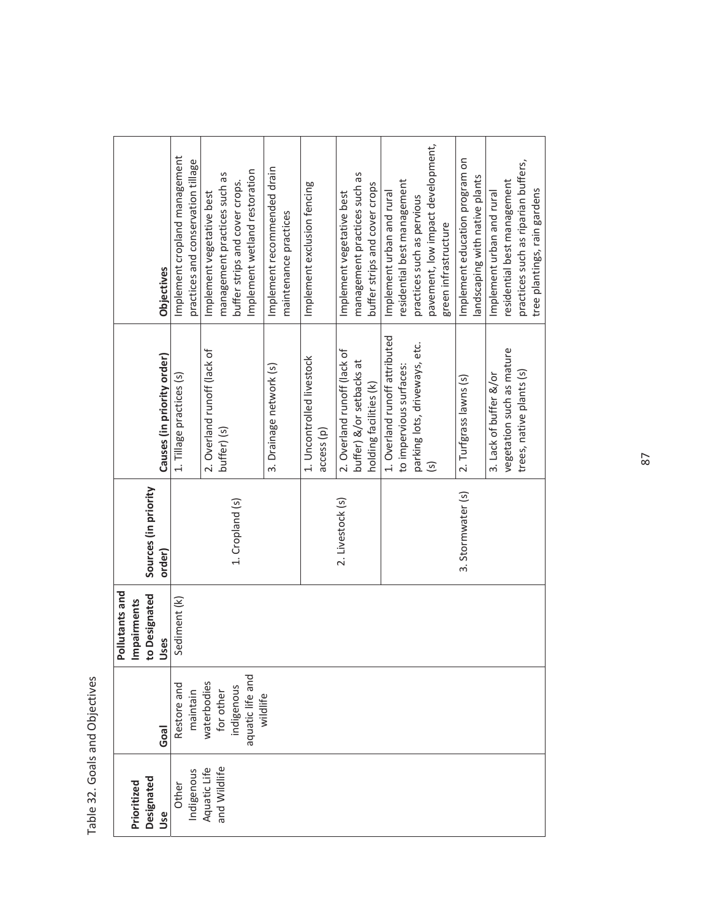| ¢                                            |
|----------------------------------------------|
| ׆֧<br>5<br>$\overline{1}$<br>$\tilde{\zeta}$ |
| ć<br>5<br>ś                                  |

|                               |                      | Objectives                 | Implement cropland management | practices and conservation tillage                 | Implement vegetative best   | management practices such as | buffer strips and cover crops. | Implement wetland restoration | Implement recommended drain | maintenance practices | Implement exclusion fencing |                    | Implement vegetative best   | management practices such as | buffer strips and cover crops | Implement urban and rural     | residential best management | practices such as pervious    | pavement, low impact development, | green infrastructure | Implement education program on | landscaping with native plants | Implement urban and rural | residential best management | practices such as riparian buffers, | tree plantings, rain gardens |
|-------------------------------|----------------------|----------------------------|-------------------------------|----------------------------------------------------|-----------------------------|------------------------------|--------------------------------|-------------------------------|-----------------------------|-----------------------|-----------------------------|--------------------|-----------------------------|------------------------------|-------------------------------|-------------------------------|-----------------------------|-------------------------------|-----------------------------------|----------------------|--------------------------------|--------------------------------|---------------------------|-----------------------------|-------------------------------------|------------------------------|
|                               |                      | Causes (in priority order) | 1. Tillage practices (s)      |                                                    | 2. Overland runoff (lack of | buffer) (s)                  |                                |                               | 3. Drainage network (s)     |                       | 1. Uncontrolled livestock   | $\text{access}(p)$ | 2. Overland runoff (lack of | buffer) &/or setbacks at     | holding facilities (k)        | 1. Overland runoff attributed | to impervious surfaces:     | parking lots, driveways, etc. | $\overline{\mathcal{S}}$          |                      | 2. Turfgrass lawns (s)         |                                | 3. Lack of buffer &/or    | vegetation such as mature   | trees, native plants (s)            |                              |
|                               | Sources (in priority | order)                     |                               |                                                    |                             |                              | 1. Cropland (s)                |                               |                             |                       |                             |                    | 2. Livestock (s)            |                              |                               |                               |                             |                               |                                   |                      | 3. Stormwater (s)              |                                |                           |                             |                                     |                              |
| Pollutants and<br>Impairments | to Designated        | Jses                       | Sediment (k)                  |                                                    |                             |                              |                                |                               |                             |                       |                             |                    |                             |                              |                               |                               |                             |                               |                                   |                      |                                |                                |                           |                             |                                     |                              |
|                               |                      | Goal                       | Restore and                   | maintain<br>waterbodies<br>for other<br>indigenous |                             |                              |                                | aquatic life and<br>wildlife  |                             |                       |                             |                    |                             |                              |                               |                               |                             |                               |                                   |                      |                                |                                |                           |                             |                                     |                              |
| Prioritized                   | Designated           | Use                        | Other                         | Aquatic Life<br>Indigenous                         | and Wildlife                |                              |                                |                               |                             |                       |                             |                    |                             |                              |                               |                               |                             |                               |                                   |                      |                                |                                |                           |                             |                                     |                              |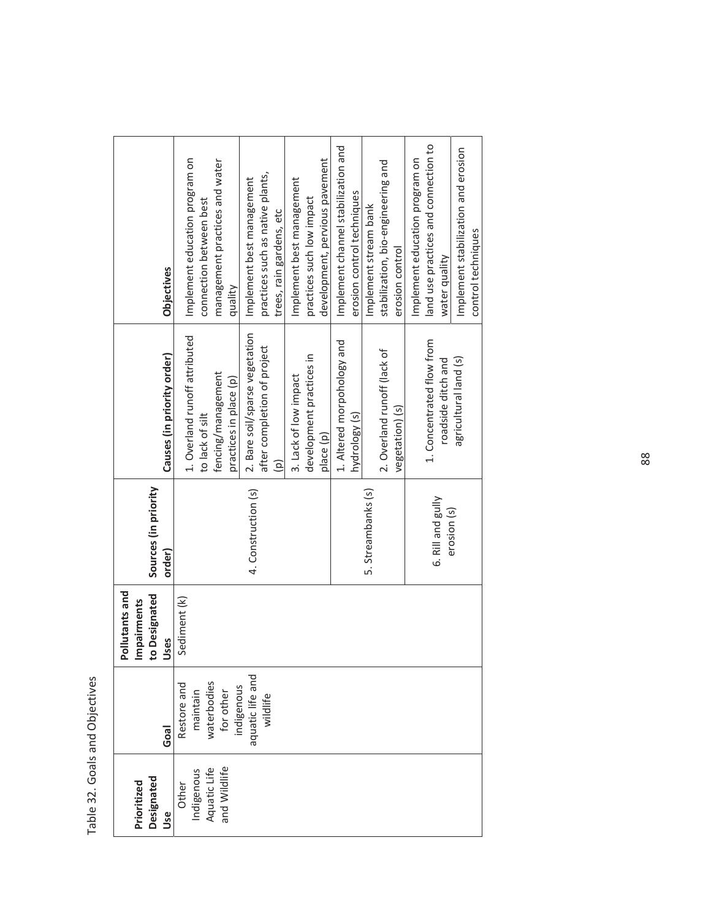Table 32. Goals and Objectives Table 32. Goals and Objectives

|                              |                                                                                                | Pollutants and        |                                |                                              |                                           |
|------------------------------|------------------------------------------------------------------------------------------------|-----------------------|--------------------------------|----------------------------------------------|-------------------------------------------|
| Designated<br>Prioritized    |                                                                                                | Impairments           |                                |                                              |                                           |
| <b>Use</b>                   | Goal                                                                                           | to Designated<br>Uses | Sources (in priority<br>order) | Causes (in priority order)                   | <b>Objectives</b>                         |
| Indigenous<br>Other          |                                                                                                | Sediment (k)          |                                | 1. Overland runoff attributed                | Implement education program on            |
|                              |                                                                                                |                       |                                | to lack of silt                              | connection between best                   |
| Aquatic Life<br>and Wildlife | Restore and<br>maintain<br>waterbodies<br>waterbodies<br>for other<br>indigenous<br>indigenous |                       |                                | fencing/management<br>practices in place (p) | management practices and water<br>quality |
|                              |                                                                                                |                       | 4. Construction (s)            | 2. Bare soil/sparse vegetation               | Implement best management                 |
|                              | wildlife                                                                                       |                       |                                | after completion of project                  | practices such as native plants,          |
|                              |                                                                                                |                       |                                | $\widehat{\mathsf{e}}$                       | trees, rain gardens, etc                  |
|                              |                                                                                                |                       |                                | 3. Lack of low impact                        | Implement best management                 |
|                              |                                                                                                |                       |                                | development practices in                     | practices such low impact                 |
|                              |                                                                                                |                       |                                | place (p)                                    | development, pervious pavement            |
|                              |                                                                                                |                       |                                | 1. Altered morpohology and                   | Implement channel stabilization and       |
|                              |                                                                                                |                       |                                | hydrology (s)                                | erosion control techniques                |
|                              |                                                                                                |                       | 5. Streambanks (s)             |                                              | Implement stream bank                     |
|                              |                                                                                                |                       |                                | 2. Overland runoff (lack of                  | stabilization, bio-engineering and        |
|                              |                                                                                                |                       |                                | vegetation) (s)                              | erosion control                           |
|                              |                                                                                                |                       |                                |                                              | Implement education program on            |
|                              |                                                                                                |                       | 6. Rill and gully              | 1. Concentrated flow from                    | land use practices and connection to      |
|                              |                                                                                                |                       | erosion (s)                    | roadside ditch and                           | water quality                             |
|                              |                                                                                                |                       |                                | agricultural land (s)                        | Implement stabilization and erosion       |
|                              |                                                                                                |                       |                                |                                              | control techniques                        |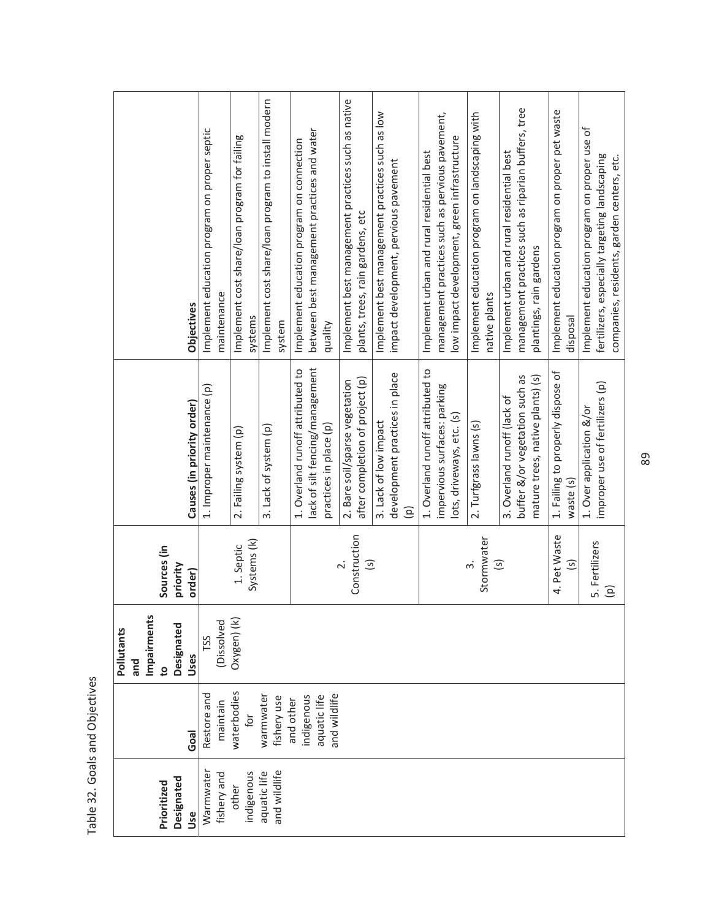| š<br>į                             |
|------------------------------------|
| e ar<br>ø<br>$\frac{1}{2}$<br>ico, |
| ć<br>5                             |

| Prioritized                  |                                                         | Impairments<br>Pollutants<br>and<br>$\overline{c}$ | Sources (in                                  |                                                                                                   |                                                                                                                                               |
|------------------------------|---------------------------------------------------------|----------------------------------------------------|----------------------------------------------|---------------------------------------------------------------------------------------------------|-----------------------------------------------------------------------------------------------------------------------------------------------|
| Designated<br>Use            | Goal                                                    | Designated<br>Uses                                 | priority<br>order)                           | Causes (in priority order)                                                                        | <b>Objectives</b>                                                                                                                             |
| Warmwater<br>fishery and     | Restore and<br>maintain                                 | (Dissolved<br>TSS                                  |                                              | 1. Improper maintenance (p)                                                                       | Implement education program on proper septic<br>maintenance                                                                                   |
| indigenous<br>other          | waterbodies<br>for                                      | Oxygen) (k)                                        | Systems (k)<br>1. Septic                     | 2. Failing system (p)                                                                             | Implement cost share/loan program for failing<br>systems                                                                                      |
| and wildlife<br>aquatic life | warmwater<br>fishery use                                |                                                    |                                              | 3. Lack of system (p)                                                                             | Implement cost share/loan program to install modern<br>system                                                                                 |
|                              | and wildlife<br>indigenous<br>aquatic life<br>and other |                                                    |                                              | lack of silt fencing/management<br>1. Overland runoff attributed to<br>practices in place (p)     | between best management practices and water<br>Implement education program on connection<br>quality                                           |
|                              |                                                         |                                                    | Construction<br>$\overline{S}$               | after completion of project (p)<br>2. Bare soil/sparse vegetation                                 | Implement best management practices such as native<br>plants, trees, rain gardens, etc                                                        |
|                              |                                                         |                                                    |                                              | development practices in place<br>3. Lack of low impact<br>$\widehat{\mathsf{e}}$                 | Implement best management practices such as low<br>impact development, pervious pavement                                                      |
|                              |                                                         |                                                    |                                              | 1. Overland runoff attributed to<br>impervious surfaces: parking<br>lots, driveways, etc. (s)     | management practices such as pervious pavement,<br>low impact development, green infrastructure<br>Implement urban and rural residential best |
|                              |                                                         |                                                    | Stormwater<br>$\overline{\mathcal{S}}$<br>ന് | 2. Turfgrass lawns (s)                                                                            | Implement education program on landscaping with<br>native plants                                                                              |
|                              |                                                         |                                                    |                                              | buffer &/or vegetation such as<br>mature trees, native plants) (s)<br>3. Overland runoff (lack of | management practices such as riparian buffers, tree<br>Implement urban and rural residential best<br>plantings, rain gardens                  |
|                              |                                                         |                                                    | 4. Pet Waste<br>$\overline{\mathcal{S}}$     | 1. Failing to properly dispose of<br>waste (s)                                                    | Implement education program on proper pet waste<br>disposal                                                                                   |
|                              |                                                         |                                                    | 5. Fertilizers<br>$\widehat{\mathsf{e}}$     | improper use of fertilizers (p)<br>1. Over application &/or                                       | ð<br>Implement education program on proper use<br>fertilizers, especially targeting landscaping<br>companies, residents, garden centers, etc. |

89